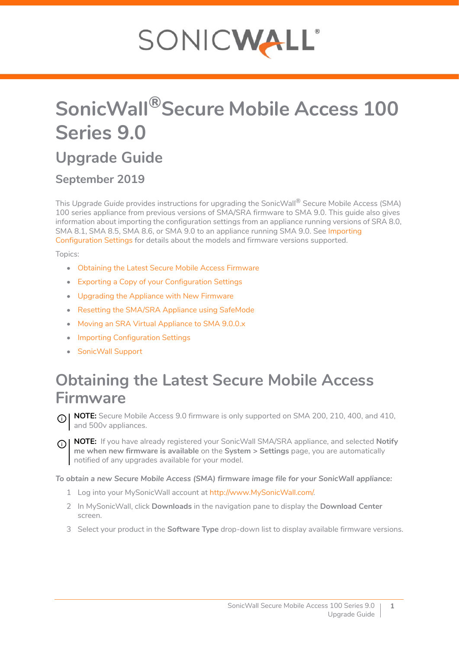# SONICWALL®

## **SonicWall®Secure Mobile Access 100 Series 9.0**

### **Upgrade Guide**

#### **September 2019**

This *Upgrade Guide* provides instructions for upgrading the SonicWall® Secure Mobile Access (SMA) 100 series appliance from previous versions of SMA/SRA firmware to SMA 9.0. This guide also gives information about importing the configuration settings from an appliance running versions of SRA 8.0, SMA 8.1, SMA 8.5, SMA 8.6, or SMA 9.0 to an appliance running SMA 9.0. See [Importing](#page-4-0)  [Configuration Settings](#page-4-0) for details about the models and firmware versions supported.

Topics:

- **•** [Obtaining the Latest Secure Mobile Access Firmware](#page-0-0)
- **•** [Exporting a Copy of your Configuration Settings](#page-1-0)
- **•** [Upgrading the Appliance with New Firmware](#page-1-1)
- **•** [Resetting the SMA/SRA Appliance using SafeMode](#page-2-0)
- **•** [Moving an SRA Virtual Appliance to SMA 9.0.0.x](#page-3-0)
- **•** [Importing Configuration Settings](#page-4-0)
- **•** [SonicWall Support](#page-6-0)

### <span id="page-0-0"></span>**Obtaining the Latest Secure Mobile Access Firmware**

**NOTE:** Secure Mobile Access 9.0 firmware is only supported on SMA 200, 210, 400, and 410, and 500v appliances.

**NOTE:** If you have already registered your SonicWall SMA/SRA appliance, and selected **Notify me when new firmware is available** on the **System > Settings** page, you are automatically notified of any upgrades available for your model.

*To obtain a new Secure Mobile Access (SMA) firmware image file for your SonicWall appliance:*

- 1 Log into your MySonicWall account at [http://www.MySonicWall.com/.](http://www.MySonicWall.com/)
- 2 In MySonicWall, click **Downloads** in the navigation pane to display the **Download Center** screen.
- 3 Select your product in the **Software Type** drop-down list to display available firmware versions.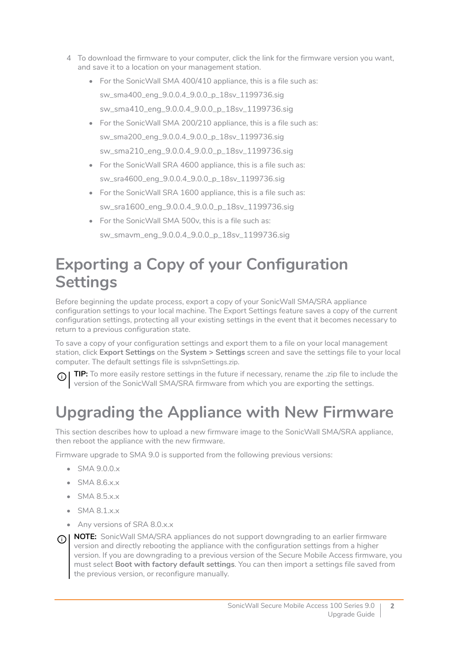- 4 To download the firmware to your computer, click the link for the firmware version you want, and save it to a location on your management station.
	- **•** For the SonicWall SMA 400/410 appliance, this is a file such as: sw\_sma400\_eng\_9.0.0.4\_9.0.0\_p\_18sv\_1199736.sig sw\_sma410\_eng\_9.0.0.4\_9.0.0\_p\_18sv\_1199736.sig
	- **•** For the SonicWall SMA 200/210 appliance, this is a file such as: sw\_sma200\_eng\_9.0.0.4\_9.0.0\_p\_18sv\_1199736.sig sw\_sma210\_eng\_9.0.0.4\_9.0.0\_p\_18sv\_1199736.sig
	- **•** For the SonicWall SRA 4600 appliance, this is a file such as: sw\_sra4600\_eng\_9.0.0.4\_9.0.0\_p\_18sv\_1199736.sig
	- **•** For the SonicWall SRA 1600 appliance, this is a file such as: sw\_sra1600\_eng\_9.0.0.4\_9.0.0\_p\_18sv\_1199736.sig
	- **•** For the SonicWall SMA 500v, this is a file such as: sw\_smavm\_eng\_9.0.0.4\_9.0.0\_p\_18sv\_1199736.sig

### <span id="page-1-0"></span>**Exporting a Copy of your Configuration Settings**

Before beginning the update process, export a copy of your SonicWall SMA/SRA appliance configuration settings to your local machine. The Export Settings feature saves a copy of the current configuration settings, protecting all your existing settings in the event that it becomes necessary to return to a previous configuration state.

To save a copy of your configuration settings and export them to a file on your local management station, click **Export Settings** on the **System > Settings** screen and save the settings file to your local computer. The default settings file is sslvpnSettings.zip.

**TIP:** To more easily restore settings in the future if necessary, rename the .zip file to include the  $(i)$ version of the SonicWall SMA/SRA firmware from which you are exporting the settings.

### <span id="page-1-1"></span>**Upgrading the Appliance with New Firmware**

This section describes how to upload a new firmware image to the SonicWall SMA/SRA appliance, then reboot the appliance with the new firmware.

Firmware upgrade to SMA 9.0 is supported from the following previous versions:

- **•** SMA 9.0.0.x
- **•** SMA 8.6.x.x
- SMA 8.5 x x
- **•** SMA 8.1.x.x
- **•** Any versions of SRA 8.0.x.x
- **NOTE:** SonicWall SMA/SRA appliances do not support downgrading to an earlier firmware version and directly rebooting the appliance with the configuration settings from a higher version. If you are downgrading to a previous version of the Secure Mobile Access firmware, you must select **Boot with factory default settings**. You can then import a settings file saved from the previous version, or reconfigure manually.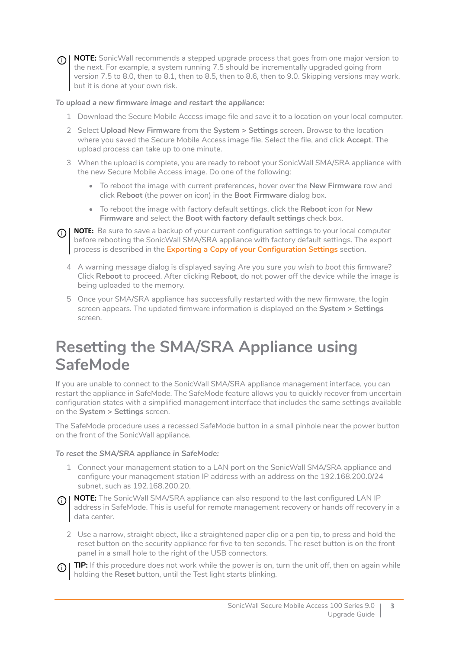(i) |

**NOTE:** SonicWall recommends a stepped upgrade process that goes from one major version to the next. For example, a system running 7.5 should be incrementally upgraded going from version 7.5 to 8.0, then to 8.1, then to 8.5, then to 8.6, then to 9.0. Skipping versions may work, but it is done at your own risk.

#### *To upload a new firmware image and restart the appliance:*

- 1 Download the Secure Mobile Access image file and save it to a location on your local computer.
- 2 Select **Upload New Firmware** from the **System > Settings** screen. Browse to the location where you saved the Secure Mobile Access image file. Select the file, and click **Accept**. The upload process can take up to one minute.
- 3 When the upload is complete, you are ready to reboot your SonicWall SMA/SRA appliance with the new Secure Mobile Access image. Do one of the following:
	- **•** To reboot the image with current preferences, hover over the **New Firmware** row and click **Reboot** (the power on icon) in the **Boot Firmware** dialog box.
	- **•** To reboot the image with factory default settings, click the **Reboot** icon for **New Firmware** and select the **Boot with factory default settings** check box.

**(i) | NOTE:** Be sure to save a backup of your current configuration settings to your local computer before rebooting the SonicWall SMA/SRA appliance with factory default settings. The export process is described in the **[Exporting a Copy of your Configuration Settings](#page-1-0)** section.

- 4 A warning message dialog is displayed saying *Are you sure you wish to boot this firmware?* Click **Reboot** to proceed. After clicking **Reboot**, do not power off the device while the image is being uploaded to the memory.
- 5 Once your SMA/SRA appliance has successfully restarted with the new firmware, the login screen appears. The updated firmware information is displayed on the **System > Settings** screen.

### <span id="page-2-0"></span>**Resetting the SMA/SRA Appliance using SafeMode**

If you are unable to connect to the SonicWall SMA/SRA appliance management interface, you can restart the appliance in SafeMode. The SafeMode feature allows you to quickly recover from uncertain configuration states with a simplified management interface that includes the same settings available on the **System > Settings** screen.

The SafeMode procedure uses a recessed SafeMode button in a small pinhole near the power button on the front of the SonicWall appliance.

#### *To reset the SMA/SRA appliance in SafeMode:*

- 1 Connect your management station to a LAN port on the SonicWall SMA/SRA appliance and configure your management station IP address with an address on the 192.168.200.0/24 subnet, such as 192.168.200.20.
- **NOTE:** The SonicWall SMA/SRA appliance can also respond to the last configured LAN IP address in SafeMode. This is useful for remote management recovery or hands off recovery in a data center.
	- 2 Use a narrow, straight object, like a straightened paper clip or a pen tip, to press and hold the reset button on the security appliance for five to ten seconds. The reset button is on the front panel in a small hole to the right of the USB connectors.
- **TIP:** If this procedure does not work while the power is on, turn the unit off, then on again while holding the **Reset** button, until the Test light starts blinking.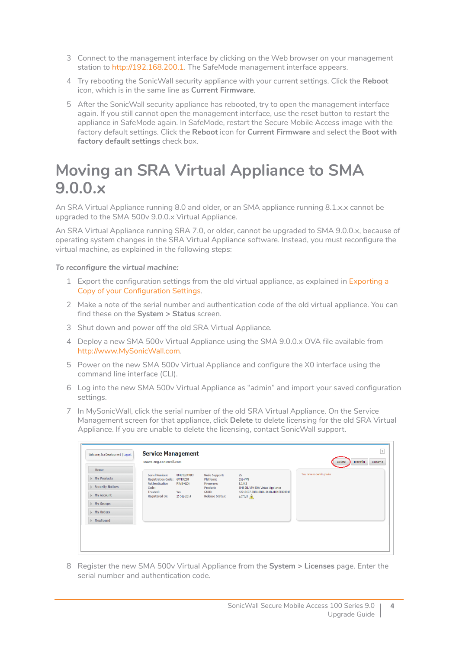- 3 Connect to the management interface by clicking on the Web browser on your management station to [http://192.168.200.1.](http://192.168.200.1) The SafeMode management interface appears.
- 4 Try rebooting the SonicWall security appliance with your current settings. Click the **Reboot** icon, which is in the same line as **Current Firmware**.
- 5 After the SonicWall security appliance has rebooted, try to open the management interface again. If you still cannot open the management interface, use the reset button to restart the appliance in SafeMode again. In SafeMode, restart the Secure Mobile Access image with the factory default settings. Click the **Reboot** icon for **Current Firmware** and select the **Boot with factory default settings** check box.

### <span id="page-3-0"></span>**Moving an SRA Virtual Appliance to SMA 9.0.0.x**

An SRA Virtual Appliance running 8.0 and older, or an SMA appliance running 8.1.x.x cannot be upgraded to the SMA 500v 9.0.0.x Virtual Appliance.

An SRA Virtual Appliance running SRA 7.0, or older, cannot be upgraded to SMA 9.0.0.x, because of operating system changes in the SRA Virtual Appliance software. Instead, you must reconfigure the virtual machine, as explained in the following steps:

#### *To reconfigure the virtual machine:*

- 1 Export the configuration settings from the old virtual appliance, as explained in [Exporting a](#page-1-0)  [Copy of your Configuration Settings](#page-1-0).
- 2 Make a note of the serial number and authentication code of the old virtual appliance. You can find these on the **System > Status** screen.
- 3 Shut down and power off the old SRA Virtual Appliance.
- 4 Deploy a new SMA 500v Virtual Appliance using the SMA 9.0.0.x OVA file available from [http://www.MySonicWall.com.](http://www.mysonicwall.com)
- 5 Power on the new SMA 500v Virtual Appliance and configure the X0 interface using the command line interface (CLI).
- 6 Log into the new SMA 500v Virtual Appliance as "admin" and import your saved configuration settings.
- 7 In MySonicWall, click the serial number of the old SRA Virtual Appliance. On the Service Management screen for that appliance, click **Delete** to delete licensing for the old SRA Virtual Appliance. If you are unable to delete the licensing, contact SonicWall support.

| Home                    |                                                    |                          |                                        |                                                |                           |
|-------------------------|----------------------------------------------------|--------------------------|----------------------------------------|------------------------------------------------|---------------------------|
| <b>My Products</b>      | <b>Serial Number:</b><br><b>Registration Code:</b> | 0040102498CF<br>6VFRPZ38 | <b>Node Support:</b><br>Platform:      | 25<br>SSL-VPN                                  | You have no pending tasks |
| <b>Security Notices</b> | <b>Authentication</b><br>Code:                     | R5VE-KLD6                | Firmware:<br>Product:                  | 8.1.0.2<br>SMB SSL VPN SRA Virtual Appliance   |                           |
| My Account              | <b>Trusted:</b><br><b>Registered On:</b>           | Yes<br>25 Sep 2014       | <b>GUID:</b><br><b>Release Status:</b> | 42218C07-3B6B-8B8A-061B-AB31EEB9BE45<br>ACTIVE |                           |
| My Groups               |                                                    |                          |                                        |                                                |                           |
| My Orders               |                                                    |                          |                                        |                                                |                           |
| FlexSpend               |                                                    |                          |                                        |                                                |                           |
|                         |                                                    |                          |                                        |                                                |                           |

8 Register the new SMA 500v Virtual Appliance from the **System > Licenses** page. Enter the serial number and authentication code.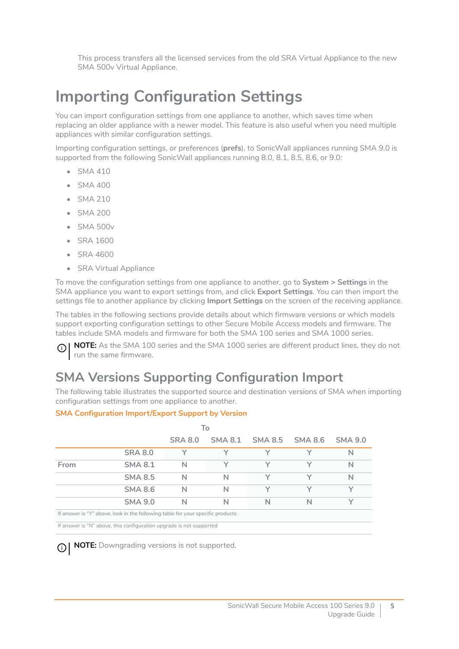This process transfers all the licensed services from the old SRA Virtual Appliance to the new SMA 500v Virtual Appliance.

### <span id="page-4-0"></span>**Importing Configuration Settings**

You can import configuration settings from one appliance to another, which saves time when replacing an older appliance with a newer model. This feature is also useful when you need multiple appliances with similar configuration settings.

Importing configuration settings, or preferences (**prefs**), to SonicWall appliances running SMA 9.0 is supported from the following SonicWall appliances running 8.0, 8.1, 8.5, 8.6, or 9.0:

- **•** SMA 410
- **•** SMA 400
- **•** SMA 210
- **•** SMA 200
- **•** SMA 500v
- **•** SRA 1600
- **•** SRA 4600
- **•** SRA Virtual Appliance

To move the configuration settings from one appliance to another, go to **System > Settings** in the SMA appliance you want to export settings from, and click **Export Settings**. You can then import the settings file to another appliance by clicking **Import Settings** on the screen of the receiving appliance.

The tables in the following sections provide details about which firmware versions or which models support exporting configuration settings to other Secure Mobile Access models and firmware. The tables include SMA models and firmware for both the SMA 100 series and SMA 1000 series.

**NOTE:** As the SMA 100 series and the SMA 1000 series are different product lines, they do not ① I run the same firmware.

#### **SMA Versions Supporting Configuration Import**

The following table illustrates the supported source and destination versions of SMA when importing configuration settings from one appliance to another.

#### **SMA Configuration Import/Export Support by Version**

|      | l o                                                                            |                |              |                         |              |                |
|------|--------------------------------------------------------------------------------|----------------|--------------|-------------------------|--------------|----------------|
|      |                                                                                | <b>SRA 8.0</b> |              | SMA 8.1 SMA 8.5 SMA 8.6 |              | <b>SMA 9.0</b> |
|      | <b>SRA 8.0</b>                                                                 | $\checkmark$   | $\checkmark$ | ⋎                       | $\checkmark$ | N              |
| From | <b>SMA 8.1</b>                                                                 | N              | Υ            | Υ                       | Υ            | $\mathsf{N}$   |
|      | <b>SMA 8.5</b>                                                                 | N              | N            | Y                       | $\checkmark$ | $\mathsf{N}$   |
|      | <b>SMA 8.6</b>                                                                 | N              | N            | Υ                       | Y            | $\checkmark$   |
|      | <b>SMA 9.0</b>                                                                 | N              | N            | N                       | N            | $\checkmark$   |
|      | If answer is "Y" above, look in the following table for your specific products |                |              |                         |              |                |
|      | If answer is "N" above, this configuration upgrade is not supported            |                |              |                         |              |                |

**NOTE:** Downgrading versions is not supported.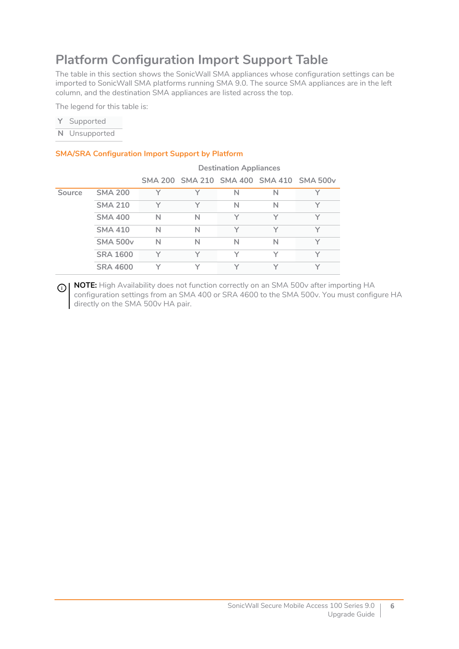#### **Platform Configuration Import Support Table**

The table in this section shows the SonicWall SMA appliances whose configuration settings can be imported to SonicWall SMA platforms running SMA 9.0. The source SMA appliances are in the left column, and the destination SMA appliances are listed across the top.

The legend for this table is:

| Y | Supported |
|---|-----------|
|---|-----------|

**N** Unsupported

#### **SMA/SRA Configuration Import Support by Platform**

|        |                 | <b>Destination Appliances</b> |              |              |   |                                          |  |
|--------|-----------------|-------------------------------|--------------|--------------|---|------------------------------------------|--|
|        |                 |                               |              |              |   | SMA 200 SMA 210 SMA 400 SMA 410 SMA 500v |  |
| Source | <b>SMA 200</b>  | Y                             | $\checkmark$ | N            | N | $\checkmark$                             |  |
|        | <b>SMA 210</b>  | $\checkmark$                  | $\checkmark$ | N            | N | $\checkmark$                             |  |
|        | <b>SMA 400</b>  | N                             | N            | $\checkmark$ |   |                                          |  |
|        | <b>SMA 410</b>  | N                             | N            | $\checkmark$ |   |                                          |  |
|        | <b>SMA 500v</b> | N                             | N            | N            | N | $\checkmark$                             |  |
|        | <b>SRA 1600</b> |                               |              | $\checkmark$ |   |                                          |  |
|        | <b>SRA 4600</b> |                               |              | $\checkmark$ |   | $\checkmark$                             |  |

**1 NOTE:** High Availability does not function correctly on an SMA 500v after importing HA configuration settings from an SMA 400 or SRA 4600 to the SMA 500v. You must configure HA directly on the SMA 500v HA pair.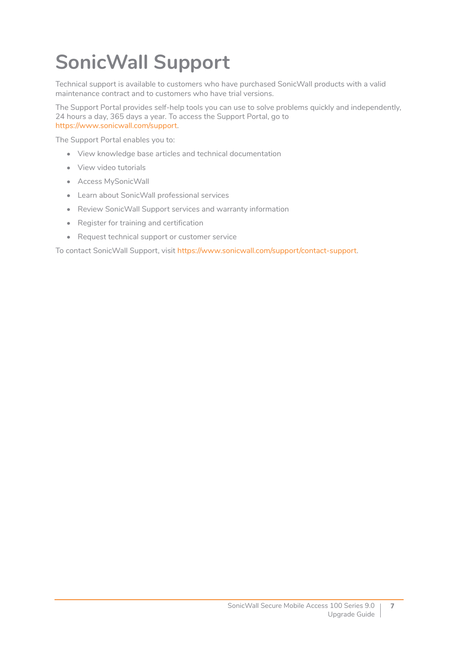# <span id="page-6-0"></span>**SonicWall Support**

Technical support is available to customers who have purchased SonicWall products with a valid maintenance contract and to customers who have trial versions.

The Support Portal provides self-help tools you can use to solve problems quickly and independently, 24 hours a day, 365 days a year. To access the Support Portal, go to [https://www.sonicwall.com/support.](https://www.sonicwall.com/support)

The Support Portal enables you to:

- **•** View knowledge base articles and technical documentation
- **•** View video tutorials
- **•** Access MySonicWall
- **•** Learn about SonicWall professional services
- **•** Review SonicWall Support services and warranty information
- **•** Register for training and certification
- **•** Request technical support or customer service

To contact SonicWall Support, visit [https://www.sonicwall.com/support/contact-support.](https://www.sonicwall.com/support/contact-support)